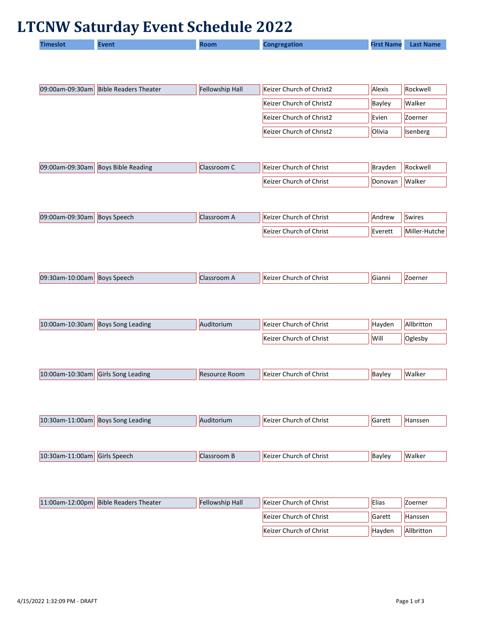## **LTCNW Saturday Event Schedule 2022**

| .<br>First Name<br><b>Congregation</b><br>aiew | <b>Last Name</b> |
|------------------------------------------------|------------------|
|------------------------------------------------|------------------|

| 09:00am-09:30am   Bible Readers Theater | <b>Fellowship Hall</b> | Keizer Church of Christ2 | <b>Alexis</b> | Rockwell        |
|-----------------------------------------|------------------------|--------------------------|---------------|-----------------|
|                                         |                        | Keizer Church of Christ2 | Bayley        | <b>Walker</b>   |
|                                         |                        | Keizer Church of Christ2 | Evien         | Zoerner         |
|                                         |                        | Keizer Church of Christ2 | Olivia        | <b>Isenberg</b> |

| $ 09:00$ am-09:30am | <b>Boys Bible Reading</b> | <b>IClassroom C</b> | <b>Keizer Church of Christ</b> | Brayden | Rockwell |
|---------------------|---------------------------|---------------------|--------------------------------|---------|----------|
|                     |                           |                     | Keizer Church of Christ        | Donovan | Walker   |

| $ 09:00$ am-09:30am | <b>Boys Speech</b> | Classroom A | <b>Keizer Church of Christ</b> | <b>Andrew</b> | <b>Swires</b> |
|---------------------|--------------------|-------------|--------------------------------|---------------|---------------|
|                     |                    |             | Keizer Church of Christ        | Everett       | Miller-Hutche |

| 09:30am<br>$\sim$<br>"UUam"<br>. | Speech<br>Bovs | nnr | $\mathbf{u}$<br>Christ<br>nt (<br>eizer<br>.hurch<br>$\mathbf{N}$ | Gianni | oerner |
|----------------------------------|----------------|-----|-------------------------------------------------------------------|--------|--------|
|                                  |                |     |                                                                   |        |        |

| $ 10:00$ am-10:30am Boys Song Leading | Auditorium | Keizer Church of Christ | Havden | Allbritton |
|---------------------------------------|------------|-------------------------|--------|------------|
|                                       |            | Keizer Church of Christ | Will   | Oglesby    |

| 10·6<br>10 Jar<br>וו <i>חו</i> ר<br>. . | adıne<br>lGirl<br>song | .<br>ROOP<br><b>IN</b><br>. . | Christ<br>ി ∩1<br>.nu | <sub>'</sub> Bavle' | alke |
|-----------------------------------------|------------------------|-------------------------------|-----------------------|---------------------|------|

| 10:30am-1.<br>$11:00$ am | <b>Boys Song L</b><br>Leading | Auditorium | Christ<br>church of '<br><b>Keizer</b> | Garett | <b>Hansser</b> |
|--------------------------|-------------------------------|------------|----------------------------------------|--------|----------------|
|                          |                               |            |                                        |        |                |

| 10:30am-.<br>$\sim$<br>uuam | $\overline{\phantom{a}}$<br><b>Girls</b><br>Speech | -----<br>JOM B | $\mathbf{r}$<br>Christ<br>ot<br><b>Keize</b><br>$_{\rm unur}$<br>í Ci | Bayley | Walker |
|-----------------------------|----------------------------------------------------|----------------|-----------------------------------------------------------------------|--------|--------|
|                             |                                                    |                |                                                                       |        |        |

| 11:00am-12:00pm Bible Readers Theater | <b>Fellowship Hall</b> | Keizer Church of Christ        | Elias  | <b>Zoerner</b> |
|---------------------------------------|------------------------|--------------------------------|--------|----------------|
|                                       |                        | Keizer Church of Christ        | Garett | Hanssen        |
|                                       |                        | <b>Keizer Church of Christ</b> | Havden | Allbritton     |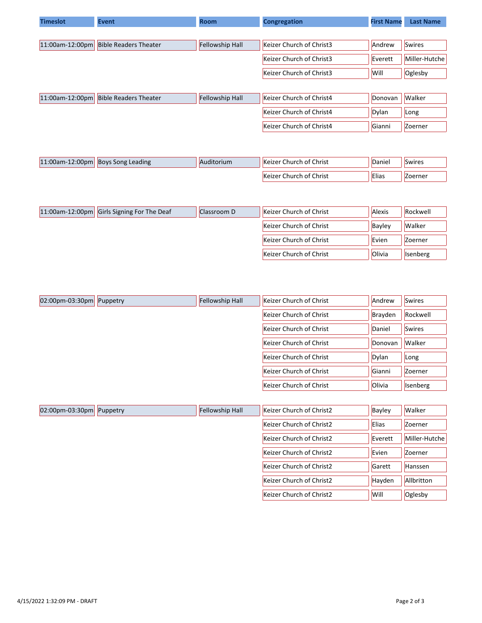| <b>Timeslot</b>    | <b>Event</b>                 | <b>Room</b>            | <b>Congregation</b>      | <b>First Name</b> | <b>Last Name</b> |  |
|--------------------|------------------------------|------------------------|--------------------------|-------------------|------------------|--|
|                    |                              |                        |                          |                   |                  |  |
| $11:00$ am-12:00pm | <b>Bible Readers Theater</b> | <b>Fellowship Hall</b> | Keizer Church of Christ3 | Andrew            | Swires           |  |
|                    |                              |                        | Keizer Church of Christ3 | Everett           | Miller-Hutche    |  |
|                    |                              |                        | Keizer Church of Christ3 | Will              | Oglesby          |  |
|                    |                              |                        |                          |                   |                  |  |
| $11:00$ am-12:00pm | <b>Bible Readers Theater</b> | Fellowship Hall        | Keizer Church of Christ4 | Donovan           | <b>Walker</b>    |  |

| Keizer Church of Christ4 | Dylan  | Long    |  |
|--------------------------|--------|---------|--|
| Keizer Church of Christ4 | Gianni | Zoerner |  |
|                          |        |         |  |

| $-12:00$ pm<br>$11:00$ am- $\frac{1}{1}$ | <b>Boys Song Leading</b> | Auditorium | Church of Christ<br><b>Keizer</b> | Daniel | Swires         |
|------------------------------------------|--------------------------|------------|-----------------------------------|--------|----------------|
|                                          |                          |            | Church of Christ<br>.Keizer       | Elias  | <b>Zoerner</b> |

| 11:00am-12:00pm Girls Signing For The Deaf | Classroom D | Keizer Church of Christ        | <b>Alexis</b> | Rockwell |
|--------------------------------------------|-------------|--------------------------------|---------------|----------|
|                                            |             | <b>Keizer Church of Christ</b> | Bayley        | Walker   |
|                                            |             | <b>Keizer Church of Christ</b> | Evien         | Zoerner  |
|                                            |             | Keizer Church of Christ        | <b>Olivia</b> | Isenberg |

| $ 02:00$ pm-03:30pm<br>Puppetry | Fellowship Hall | Keizer Church of Christ | Andrew  | <b>Swires</b> |
|---------------------------------|-----------------|-------------------------|---------|---------------|
|                                 |                 | Keizer Church of Christ | Brayden | Rockwell      |
|                                 |                 | Keizer Church of Christ | Daniel  | Swires        |
|                                 |                 | Keizer Church of Christ | Donovan | <b>Walker</b> |
|                                 |                 | Keizer Church of Christ | Dylan   | Long          |
|                                 |                 | Keizer Church of Christ | Gianni  | Zoerner       |
|                                 |                 | Keizer Church of Christ | Olivia  | Isenberg      |

| $ 02:00$ pm-03:30pm Puppetry | Fellowship Hall | Keizer Church of Christ2 | <b>Bayley</b> | Walker         |
|------------------------------|-----------------|--------------------------|---------------|----------------|
|                              |                 | Keizer Church of Christ2 | <b>Elias</b>  | <b>Zoerner</b> |
|                              |                 | Keizer Church of Christ2 | Everett       | Miller-Hutche  |
|                              |                 | Keizer Church of Christ2 | Evien         | <b>Zoerner</b> |
|                              |                 | Keizer Church of Christ2 | Garett        | Hanssen        |
|                              |                 | Keizer Church of Christ2 | Hayden        | Allbritton     |
|                              |                 | Keizer Church of Christ2 | Will          | Oglesby        |